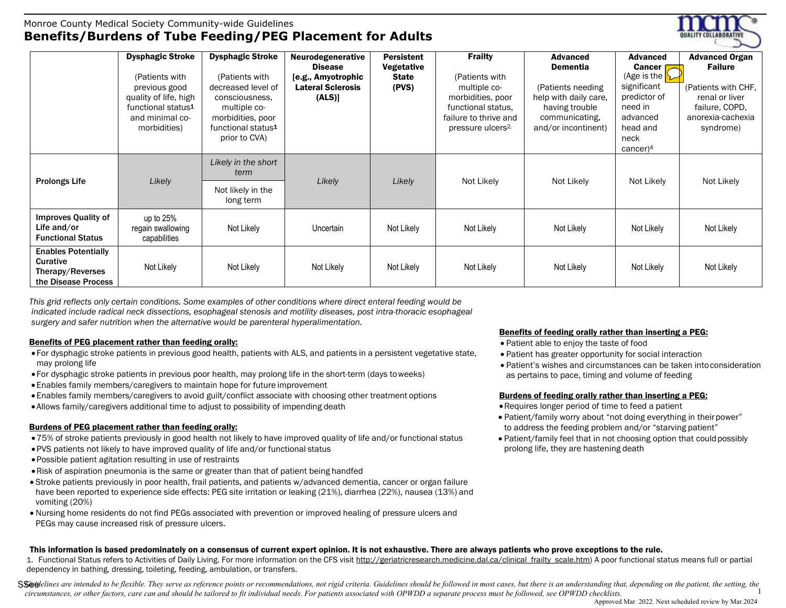### Monroe County Medical Society Community-wide Guidelines **Benefits/Burdens of Tube Feeding/PEG Placement for Adults**

|                                                                                   | <b>Dysphagic Stroke</b><br>(Patients with<br>previous good<br>quality of life, high<br>functional status <sup>1</sup><br>and minimal co-<br>morbidities) | <b>Dysphagic Stroke</b><br>(Patients with<br>decreased level of<br>consciousness.<br>multiple co-<br>morbidities, poor<br>functional status <sup>1</sup><br>prior to CVA) | Neurodegenerative<br><b>Disease</b><br>[e.g., Amyotrophic<br><b>Lateral Sclerosis</b><br>(ALS) | <b>Persistent</b><br>Vegetative<br><b>State</b><br>(PVS) | <b>Frailty</b><br>(Patients with<br>multiple co-<br>morbidities, poor<br>functional status,<br>failure to thrive and<br>pressure ulcers <sup>2.</sup> | <b>Advanced</b><br><b>Dementia</b><br>(Patients needing)<br>help with daily care,<br>having trouble<br>communicating.<br>and/or incontinent) | <b>Advanced</b><br>Cancer (<br>(Age is the $\vert$<br>significant<br>predictor of<br>need in<br>advanced<br>head and<br>neck<br>$cancer)^4$ | <b>Advanced Organ</b><br><b>Failure</b><br>(Patients with CHF,<br>renal or liver<br>failure, COPD,<br>anorexia-cachexia<br>syndrome) |
|-----------------------------------------------------------------------------------|----------------------------------------------------------------------------------------------------------------------------------------------------------|---------------------------------------------------------------------------------------------------------------------------------------------------------------------------|------------------------------------------------------------------------------------------------|----------------------------------------------------------|-------------------------------------------------------------------------------------------------------------------------------------------------------|----------------------------------------------------------------------------------------------------------------------------------------------|---------------------------------------------------------------------------------------------------------------------------------------------|--------------------------------------------------------------------------------------------------------------------------------------|
| <b>Prolongs Life</b>                                                              | Likely                                                                                                                                                   | Likely in the short<br>term<br>Not likely in the<br>long term                                                                                                             | Likely                                                                                         | Likely                                                   | Not Likely                                                                                                                                            | Not Likely                                                                                                                                   | Not Likely                                                                                                                                  | Not Likely                                                                                                                           |
| <b>Improves Quality of</b><br>Life and/or<br><b>Functional Status</b>             | up to $25%$<br>regain swallowing<br>capabilities                                                                                                         | Not Likely                                                                                                                                                                | Uncertain                                                                                      | Not Likely                                               | Not Likely                                                                                                                                            | Not Likely                                                                                                                                   | Not Likely                                                                                                                                  | Not Likely                                                                                                                           |
| <b>Enables Potentially</b><br>Curative<br>Therapy/Reverses<br>the Disease Process | Not Likely                                                                                                                                               | Not Likely                                                                                                                                                                | Not Likely                                                                                     | Not Likely                                               | Not Likely                                                                                                                                            | Not Likely                                                                                                                                   | Not Likely                                                                                                                                  | Not Likely                                                                                                                           |

*This grid reflects only certain conditions. Some examples of other conditions where direct enteral feeding would be indicated include radical neck dissections, esophageal stenosis and motility diseases, post intra-thoracic esophageal surgery and safer nutrition when the alternative would be parenteral hyperalimentation.*

#### Benefits of PEG placement rather than feeding orally:

- •For dysphagic stroke patients in previous good health, patients with ALS, and patients in a persistent vegetative state, may prolong life
- •For dysphagic stroke patients in previous poor health, may prolong life in the short-term (days toweeks)
- •Enables family members/caregivers to maintain hope for future improvement
- •Enables family members/caregivers to avoid guilt/conflict associate with choosing other treatment options
- •Allows family/caregivers additional time to adjust to possibility of impending death

#### Burdens of PEG placement rather than feeding orally:

- •75% of stroke patients previously in good health not likely to have improved quality of life and/or functional status
- •PVS patients not likely to have improved quality of life and/or functional status
- •Possible patient agitation resulting in use of restraints
- •Risk of aspiration pneumonia is the same or greater than that of patient being handfed
- Stroke patients previously in poor health, frail patients, and patients w/advanced dementia, cancer or organ failure have been reported to experience side effects: PEG site irritation or leaking (21%), diarrhea (22%), nausea (13%) and vomiting (20%)
- Nursing home residents do not find PEGs associated with prevention or improved healing of pressure ulcers and PEGs may cause increased risk of pressure ulcers.

#### Benefits of feeding orally rather than inserting a PEG:

- Patient able to enjoy the taste of food
- Patient has greater opportunity for social interaction
- Patient's wishes and circumstances can be taken intoconsideration as pertains to pace, timing and volume of feeding

#### Burdens of feeding orally rather than inserting a PEG:

- •Requires longer period of time to feed a patient
- Patient/family worry about "not doing everything in their power" to address the feeding problem and/or "starving patient"
- Patient/family feel that in not choosing option that couldpossibly prolong life, they are hastening death

#### This information is based predominately on a consensus of current expert opinion. It is not exhaustive. There are always patients who prove exceptions to the rule.

1. Functional Status refers to Activities of Daily Living. For more information on the CFS visi[t http://geriatricresearch.medicine.dal.ca/clinical\\_frailty\\_scale.htm\) A](http://geriatricresearch.medicine.dal.ca/clinical_frailty_scale.htm) poor functional status means full or partial dependency in bathing, dressing, toileting, feeding, ambulation, or transfers.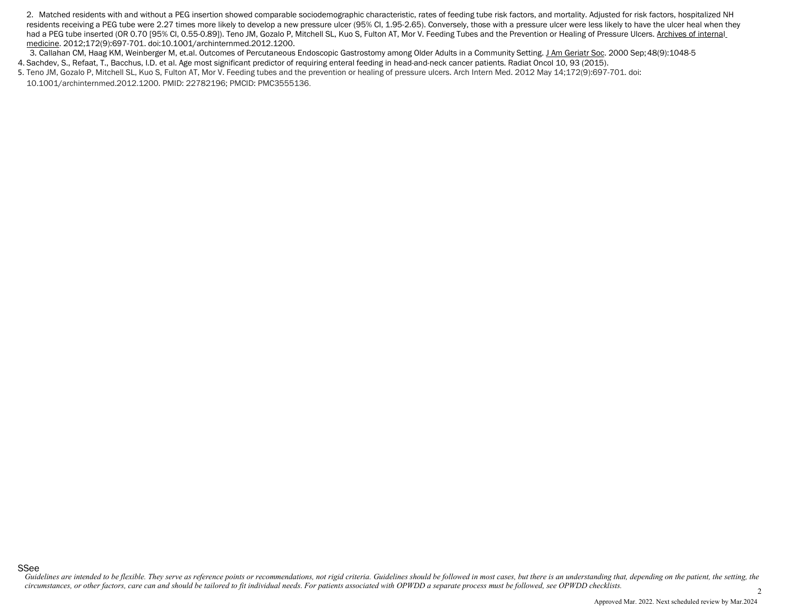2. Matched residents with and without a PEG insertion showed comparable sociodemographic characteristic, rates of feeding tube risk factors, and mortality. Adjusted for risk factors, hospitalized NH residents receiving a PEG tube were 2.27 times more likely to develop a new pressure ulcer (95% Cl, 1.95-2.65). Conversely, those with a pressure ulcer were less likely to have the ulcer heal when they had a PEG tube inserted (OR 0.70 [95% CI, 0.55-0.89]). Teno JM, Gozalo P, Mitchell SL, Kuo S, Fulton AT, Mor V. Feeding Tubes and the Prevention or Healing of Pressure Ulcers. [Archives of internal](http://www.ncbi.nlm.nih.gov/pmc/articles/PMC3555136/) [medicine. 2](http://www.ncbi.nlm.nih.gov/pmc/articles/PMC3555136/)012;172(9):697-701. doi:10.1001/archinternmed.2012.1200.

3. Callahan CM, Haag KM, Weinberger M, et.al. Outcomes of Percutaneous Endoscopic Gastrostomy among Older Adults in a Community Setting. J Am Geriatr Soc. 2000 Sep;48(9):1048-5

4. Sachdev, S., Refaat, T., Bacchus, I.D. et al. Age most significant predictor of requiring enteral feeding in head-and-neck cancer patients. Radiat Oncol 10, 93 (2015).

5. Teno JM, Gozalo P, Mitchell SL, Kuo S, Fulton AT, Mor V. Feeding tubes and the prevention or healing of pressure ulcers. Arch Intern Med. 2012 May 14;172(9):697-701. doi:

10.1001/archinternmed.2012.1200. PMID: 22782196; PMCID: PMC3555136.

SSee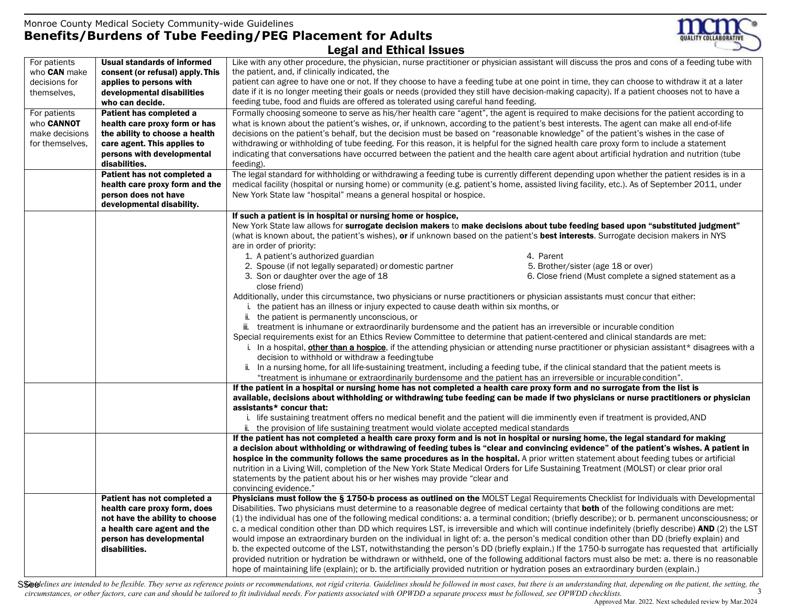### Monroe County Medical Society Community-wide Guidelines **Benefits/Burdens of Tube Feeding/PEG Placement for Adults** Legal and Ethical Issues



| For patients<br>who <b>CAN</b> make<br>decisions for<br>themselves,<br>For patients | <b>Usual standards of informed</b><br>consent (or refusal) apply. This<br>applies to persons with<br>developmental disabilities<br>who can decide.<br>Patient has completed a | Like with any other procedure, the physician, nurse practitioner or physician assistant will discuss the pros and cons of a feeding tube with<br>the patient, and, if clinically indicated, the<br>patient can agree to have one or not. If they choose to have a feeding tube at one point in time, they can choose to withdraw it at a later<br>date if it is no longer meeting their goals or needs (provided they still have decision-making capacity). If a patient chooses not to have a<br>feeding tube, food and fluids are offered as tolerated using careful hand feeding.<br>Formally choosing someone to serve as his/her health care "agent", the agent is required to make decisions for the patient according to                                                                                                                                                                                                                                                                                                                                                                                                                                                                                                                                                                                                                                                                                                                                                                                                                                                                                                                                                                                                                                                                                                                                                                                                                                                                                                                                                                                                                                                                                                                                                                                                                                                                                                                                                                                                                                                  |                                                                                                                                                                                                                                                                  |
|-------------------------------------------------------------------------------------|-------------------------------------------------------------------------------------------------------------------------------------------------------------------------------|----------------------------------------------------------------------------------------------------------------------------------------------------------------------------------------------------------------------------------------------------------------------------------------------------------------------------------------------------------------------------------------------------------------------------------------------------------------------------------------------------------------------------------------------------------------------------------------------------------------------------------------------------------------------------------------------------------------------------------------------------------------------------------------------------------------------------------------------------------------------------------------------------------------------------------------------------------------------------------------------------------------------------------------------------------------------------------------------------------------------------------------------------------------------------------------------------------------------------------------------------------------------------------------------------------------------------------------------------------------------------------------------------------------------------------------------------------------------------------------------------------------------------------------------------------------------------------------------------------------------------------------------------------------------------------------------------------------------------------------------------------------------------------------------------------------------------------------------------------------------------------------------------------------------------------------------------------------------------------------------------------------------------------------------------------------------------------------------------------------------------------------------------------------------------------------------------------------------------------------------------------------------------------------------------------------------------------------------------------------------------------------------------------------------------------------------------------------------------------------------------------------------------------------------------------------------------------|------------------------------------------------------------------------------------------------------------------------------------------------------------------------------------------------------------------------------------------------------------------|
| who <b>CANNOT</b><br>make decisions<br>for themselves,                              | health care proxy form or has<br>the ability to choose a health<br>care agent. This applies to<br>persons with developmental<br>disabilities.                                 | what is known about the patient's wishes, or, if unknown, according to the patient's best interests. The agent can make all end-of-life<br>decisions on the patient's behalf, but the decision must be based on "reasonable knowledge" of the patient's wishes in the case of<br>withdrawing or withholding of tube feeding. For this reason, it is helpful for the signed health care proxy form to include a statement<br>indicating that conversations have occurred between the patient and the health care agent about artificial hydration and nutrition (tube<br>feeding).                                                                                                                                                                                                                                                                                                                                                                                                                                                                                                                                                                                                                                                                                                                                                                                                                                                                                                                                                                                                                                                                                                                                                                                                                                                                                                                                                                                                                                                                                                                                                                                                                                                                                                                                                                                                                                                                                                                                                                                                |                                                                                                                                                                                                                                                                  |
|                                                                                     | Patient has not completed a<br>health care proxy form and the<br>person does not have<br>developmental disability.                                                            | The legal standard for withholding or withdrawing a feeding tube is currently different depending upon whether the patient resides is in a<br>medical facility (hospital or nursing home) or community (e.g. patient's home, assisted living facility, etc.). As of September 2011, under<br>New York State law "hospital" means a general hospital or hospice.                                                                                                                                                                                                                                                                                                                                                                                                                                                                                                                                                                                                                                                                                                                                                                                                                                                                                                                                                                                                                                                                                                                                                                                                                                                                                                                                                                                                                                                                                                                                                                                                                                                                                                                                                                                                                                                                                                                                                                                                                                                                                                                                                                                                                  |                                                                                                                                                                                                                                                                  |
|                                                                                     |                                                                                                                                                                               | If such a patient is in hospital or nursing home or hospice,<br>New York State law allows for surrogate decision makers to make decisions about tube feeding based upon "substituted judgment"<br>(what is known about, the patient's wishes), or if unknown based on the patient's best interests. Surrogate decision makers in NYS<br>are in order of priority:<br>1. A patient's authorized guardian<br>2. Spouse (if not legally separated) or domestic partner<br>3. Son or daughter over the age of 18<br>close friend)<br>Additionally, under this circumstance, two physicians or nurse practitioners or physician assistants must concur that either:<br>i. the patient has an illness or injury expected to cause death within six months, or<br>ii. the patient is permanently unconscious, or<br>iii. treatment is inhumane or extraordinarily burdensome and the patient has an irreversible or incurable condition<br>Special requirements exist for an Ethics Review Committee to determine that patient-centered and clinical standards are met:<br>decision to withhold or withdraw a feedingtube<br>ii. In a nursing home, for all life-sustaining treatment, including a feeding tube, if the clinical standard that the patient meets is<br>"treatment is inhumane or extraordinarily burdensome and the patient has an irreversible or incurable condition".<br>If the patient in a hospital or nursing home has not completed a health care proxy form and no surrogate from the list is<br>available, decisions about withholding or withdrawing tube feeding can be made if two physicians or nurse practitioners or physician<br>assistants* concur that:<br>i. life sustaining treatment offers no medical benefit and the patient will die imminently even if treatment is provided, AND<br>ii. the provision of life sustaining treatment would violate accepted medical standards<br>If the patient has not completed a health care proxy form and is not in hospital or nursing home, the legal standard for making<br>a decision about withholding or withdrawing of feeding tubes is "clear and convincing evidence" of the patient's wishes. A patient in<br>hospice in the community follows the same procedures as in the hospital. A prior written statement about feeding tubes or artificial<br>nutrition in a Living Will, completion of the New York State Medical Orders for Life Sustaining Treatment (MOLST) or clear prior oral<br>statements by the patient about his or her wishes may provide "clear and<br>convincing evidence." | 4. Parent<br>5. Brother/sister (age 18 or over)<br>6. Close friend (Must complete a signed statement as a<br>i. In a hospital, <i>other than a hospice</i> , if the attending physician or attending nurse practitioner or physician assistant* disagrees with a |
|                                                                                     | Patient has not completed a<br>health care proxy form, does<br>not have the ability to choose<br>a health care agent and the<br>person has developmental<br>disabilities.     | Physicians must follow the § 1750-b process as outlined on the MOLST Legal Requirements Checklist for Individuals with Developmental<br>Disabilities. Two physicians must determine to a reasonable degree of medical certainty that both of the following conditions are met:<br>(1) the individual has one of the following medical conditions: a. a terminal condition; (briefly describe); or b. permanent unconsciousness; or<br>c. a medical condition other than DD which requires LST, is irreversible and which will continue indefinitely (briefly describe) AND (2) the LST<br>would impose an extraordinary burden on the individual in light of: a. the person's medical condition other than DD (briefly explain) and<br>b. the expected outcome of the LST, notwithstanding the person's DD (briefly explain.) If the 1750-b surrogate has requested that artificially<br>provided nutrition or hydration be withdrawn or withheld, one of the following additional factors must also be met: a. there is no reasonable<br>hope of maintaining life (explain); or b. the artificially provided nutrition or hydration poses an extraordinary burden (explain.)                                                                                                                                                                                                                                                                                                                                                                                                                                                                                                                                                                                                                                                                                                                                                                                                                                                                                                                                                                                                                                                                                                                                                                                                                                                                                                                                                                                                    |                                                                                                                                                                                                                                                                  |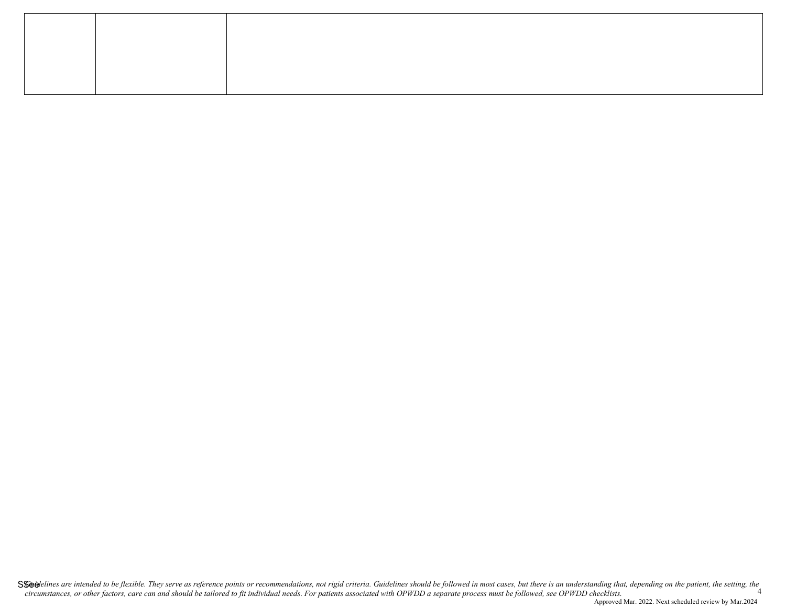SSeclines are intended to be flexible. They serve as reference points or recommendations, not rigid criteria. Guidelines should be followed in most cases, but there is an understanding that, depending on the patient, the s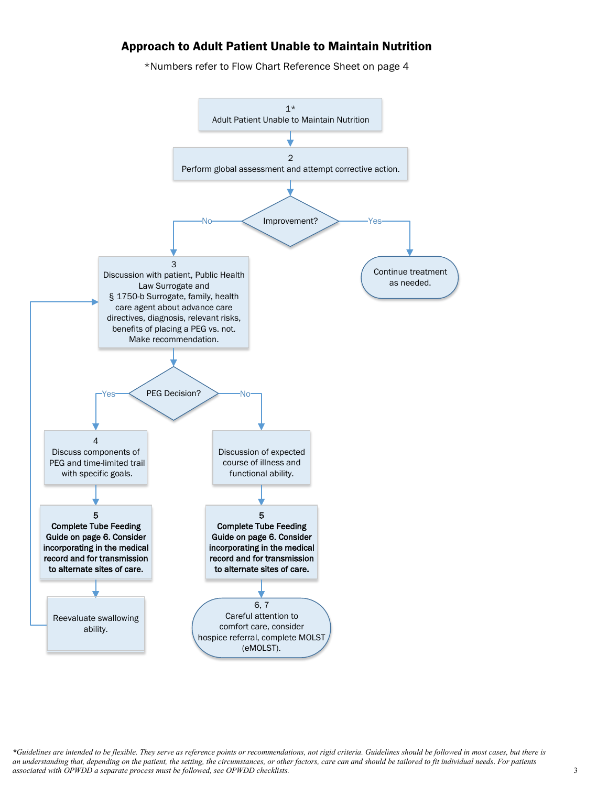### Approach to Adult Patient Unable to Maintain Nutrition

\*Numbers refer to Flow Chart Reference Sheet on page 4

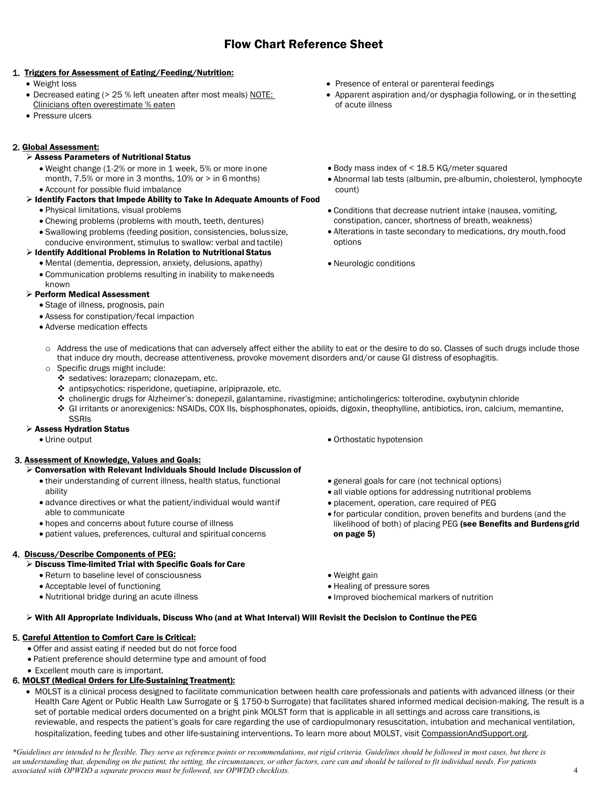### 1. Triggers for Assessment of Eating/Feeding/Nutrition:

- Weight loss
- Decreased eating (> 25 % left uneaten after most meals) NOTE: Clinicians often overestimate % eaten
- Pressure ulcers

### 2. Global Assessment:

#### Assess Parameters of Nutritional Status

- Weight change (1-2% or more in 1 week, 5% or more inone month, 7.5% or more in 3 months, 10% or > in 6 months)
- Account for possible fluid imbalance
- $\triangleright$  Identify Factors that Impede Ability to Take In Adequate Amounts of Food
	- Physical limitations, visual problems
	- Chewing problems (problems with mouth, teeth, dentures)
	- Swallowing problems (feeding position, consistencies, bolus size, conducive environment, stimulus to swallow: verbal and tactile)
- $\triangleright$  Identify Additional Problems in Relation to Nutritional Status
	- Mental (dementia, depression, anxiety, delusions, apathy) • Communication problems resulting in inability to makeneeds known

### Perform Medical Assessment

- Stage of illness, prognosis, pain
- Assess for constipation/fecal impaction
- Adverse medication effects
- Presence of enteral or parenteral feedings
- Apparent aspiration and/or dysphagia following, or in thesetting of acute illness
- Body mass index of < 18.5 KG/meter squared
- Abnormal lab tests (albumin, pre-albumin, cholesterol, lymphocyte count)
- Conditions that decrease nutrient intake (nausea, vomiting, constipation, cancer, shortness of breath, weakness)
- Alterations in taste secondary to medications, dry mouth,food options
- Neurologic conditions
- $\circ$  Address the use of medications that can adversely affect either the ability to eat or the desire to do so. Classes of such drugs include those that induce dry mouth, decrease attentiveness, provoke movement disorders and/or cause GI distress of esophagitis.
- o Specific drugs might include:
	- ❖ sedatives: lorazepam; clonazepam, etc.
	- antipsychotics: risperidone, quetiapine, aripiprazole, etc.
	- cholinergic drugs for Alzheimer's: donepezil, galantamine, rivastigmine; anticholingerics: tolterodine, oxybutynin chloride
	- GI irritants or anorexigenics: NSAIDs, COX IIs, bisphosphonates, opioids, digoxin, theophylline, antibiotics, iron, calcium, memantine, **SSRIS**

### Assess Hydration Status

### 3. Assessment of Knowledge, Values and Goals:

- Conversation with Relevant Individuals Should Include Discussion of
	- their understanding of current illness, health status, functional ability
	- advance directives or what the patient/individual would wantif able to communicate
	- hopes and concerns about future course of illness
	- patient values, preferences, cultural and spiritual concerns

### 4. Discuss/Describe Components of PEG:

- Discuss Time-limited Trial with Specific Goals for Care
	- Return to baseline level of consciousness
	- Acceptable level of functioning
	- Nutritional bridge during an acute illness
- Urine output **Orthostatic hypotension** 
	- general goals for care (not technical options)
	- all viable options for addressing nutritional problems
	- placement, operation, care required of PEG
	- for particular condition, proven benefits and burdens (and the likelihood of both) of placing PEG (see Benefits and Burdensgrid on page 5)
	- Weight gain
	- Healing of pressure sores
	- Improved biochemical markers of nutrition

### $\triangleright$  With All Appropriate Individuals, Discuss Who (and at What Interval) Will Revisit the Decision to Continue the PEG

#### 5. Careful Attention to Comfort Care is Critical:

- Offer and assist eating if needed but do not force food
- Patient preference should determine type and amount of food
- Excellent mouth care is important.

### 6. MOLST (Medical Orders for Life-Sustaining Treatment):

• MOLST is a clinical process designed to facilitate communication between health care professionals and patients with advanced illness (or their Health Care Agent or Public Health Law Surrogate or § 1750-b Surrogate) that facilitates shared informed medical decision-making. The result is a set of portable medical orders documented on a bright pink MOLST form that is applicable in all settings and across care transitions,is reviewable, and respects the patient's goals for care regarding the use of cardiopulmonary resuscitation, intubation and mechanical ventilation, hospitalization, feeding tubes and other life-sustaining interventions. To learn more about MOLST, visi[t CompassionAndSupport.org](https://www.nysemolstregistry.com/Account/Login?ReturnUrl=%2f)[.](https://www.nysemolstregistry.com/Account/Login?ReturnUrl=%2f)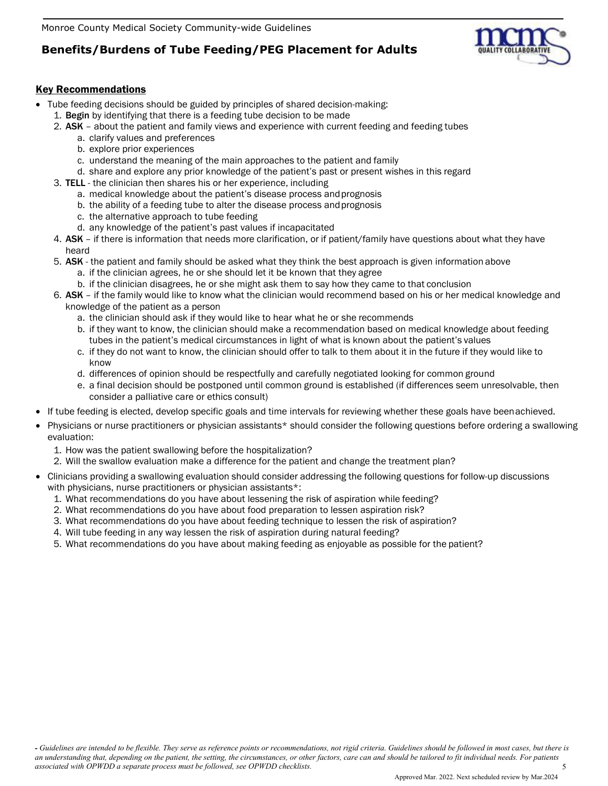

### **Key Recommendations**

- Tube feeding decisions should be guided by principles of shared decision-making:
	- 1. Begin by identifying that there is a feeding tube decision to be made
	- 2. ASK about the patient and family views and experience with current feeding and feeding tubes
		- a. clarify values and preferences
		- b. explore prior experiences
		- c. understand the meaning of the main approaches to the patient and family
		- d. share and explore any prior knowledge of the patient's past or present wishes in this regard
	- 3. TELL the clinician then shares his or her experience, including
		- a. medical knowledge about the patient's disease process andprognosis
		- b. the ability of a feeding tube to alter the disease process andprognosis
		- c. the alternative approach to tube feeding
		- d. any knowledge of the patient's past values if incapacitated
	- 4. ASK if there is information that needs more clarification, or if patient/family have questions about what they have heard
	- 5. ASK the patient and family should be asked what they think the best approach is given information above a. if the clinician agrees, he or she should let it be known that they agree
		- b. if the clinician disagrees, he or she might ask them to say how they came to that conclusion
	- 6. ASK if the family would like to know what the clinician would recommend based on his or her medical knowledge and knowledge of the patient as a person
		- a. the clinician should ask if they would like to hear what he or she recommends
		- b. if they want to know, the clinician should make a recommendation based on medical knowledge about feeding tubes in the patient's medical circumstances in light of what is known about the patient's values
		- c. if they do not want to know, the clinician should offer to talk to them about it in the future if they would like to know
		- d. differences of opinion should be respectfully and carefully negotiated looking for common ground
		- e. a final decision should be postponed until common ground is established (if differences seem unresolvable, then consider a palliative care or ethics consult)
- If tube feeding is elected, develop specific goals and time intervals for reviewing whether these goals have beenachieved.
- Physicians or nurse practitioners or physician assistants\* should consider the following questions before ordering a swallowing evaluation:
	- 1. How was the patient swallowing before the hospitalization?
	- 2. Will the swallow evaluation make a difference for the patient and change the treatment plan?
- Clinicians providing a swallowing evaluation should consider addressing the following questions for follow-up discussions with physicians, nurse practitioners or physician assistants\*:
	- 1. What recommendations do you have about lessening the risk of aspiration while feeding?
	- 2. What recommendations do you have about food preparation to lessen aspiration risk?
	- 3. What recommendations do you have about feeding technique to lessen the risk of aspiration?
	- 4. Will tube feeding in any way lessen the risk of aspiration during natural feeding?
	- 5. What recommendations do you have about making feeding as enjoyable as possible for the patient?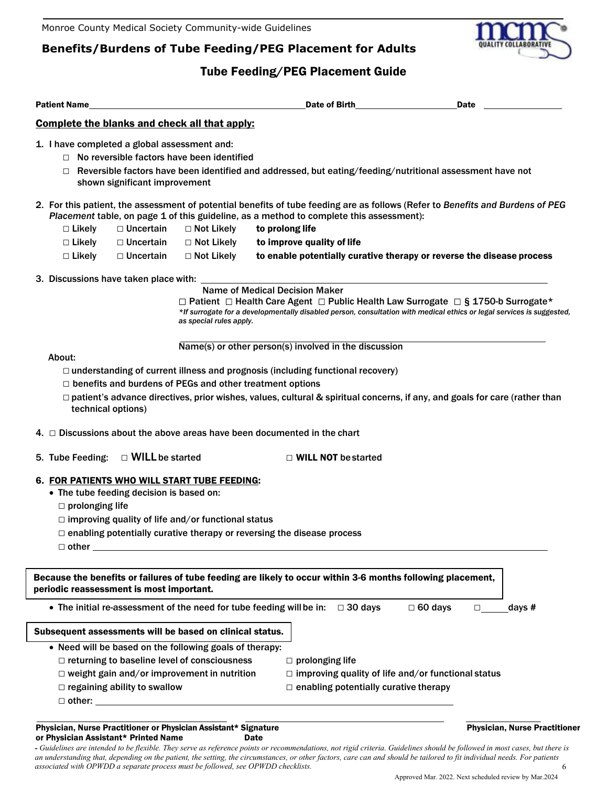

### Tube Feeding/PEG Placement Guide

| <b>Patient Name</b>                                                           |                         | Date of Birth                                                                                                    | Date                                                                                                                              |
|-------------------------------------------------------------------------------|-------------------------|------------------------------------------------------------------------------------------------------------------|-----------------------------------------------------------------------------------------------------------------------------------|
| Complete the blanks and check all that apply:                                 |                         |                                                                                                                  |                                                                                                                                   |
| 1. I have completed a global assessment and:                                  |                         |                                                                                                                  |                                                                                                                                   |
| $\Box$ No reversible factors have been identified                             |                         |                                                                                                                  |                                                                                                                                   |
|                                                                               |                         | $\Box$ Reversible factors have been identified and addressed, but eating/feeding/nutritional assessment have not |                                                                                                                                   |
| shown significant improvement                                                 |                         |                                                                                                                  |                                                                                                                                   |
|                                                                               |                         | Placement table, on page 1 of this guideline, as a method to complete this assessment):                          | 2. For this patient, the assessment of potential benefits of tube feeding are as follows (Refer to Benefits and Burdens of PEG    |
| $\Box$ Likely<br>$\Box$ Uncertain                                             | $\Box$ Not Likely       | to prolong life                                                                                                  |                                                                                                                                   |
| $\Box$ Likely<br>$\Box$ Uncertain                                             | □ Not Likely            | to improve quality of life                                                                                       |                                                                                                                                   |
| $\Box$ Likely<br>□ Uncertain                                                  | $\Box$ Not Likely       |                                                                                                                  | to enable potentially curative therapy or reverse the disease process                                                             |
|                                                                               |                         |                                                                                                                  |                                                                                                                                   |
| 3. Discussions have taken place with: __________                              |                         | Name of Medical Decision Maker                                                                                   |                                                                                                                                   |
|                                                                               |                         | $\Box$ Patient $\Box$ Health Care Agent $\Box$ Public Health Law Surrogate $\Box$ § 1750-b Surrogate*            |                                                                                                                                   |
|                                                                               | as special rules apply. |                                                                                                                  | *If surrogate for a developmentally disabled person, consultation with medical ethics or legal services is suggested,             |
|                                                                               |                         | Name(s) or other person(s) involved in the discussion                                                            |                                                                                                                                   |
| About:                                                                        |                         |                                                                                                                  |                                                                                                                                   |
|                                                                               |                         | $\Box$ understanding of current illness and prognosis (including functional recovery)                            |                                                                                                                                   |
| $\Box$ benefits and burdens of PEGs and other treatment options               |                         |                                                                                                                  |                                                                                                                                   |
| technical options)                                                            |                         |                                                                                                                  | $\Box$ patient's advance directives, prior wishes, values, cultural & spiritual concerns, if any, and goals for care (rather than |
| 4. $\Box$ Discussions about the above areas have been documented in the chart |                         |                                                                                                                  |                                                                                                                                   |
| 5. Tube Feeding: $\Box$ WILL be started                                       |                         | $\Box$ WILL NOT be started                                                                                       |                                                                                                                                   |
| 6. FOR PATIENTS WHO WILL START TUBE FEEDING:                                  |                         |                                                                                                                  |                                                                                                                                   |
| • The tube feeding decision is based on:                                      |                         |                                                                                                                  |                                                                                                                                   |
| $\Box$ prolonging life                                                        |                         |                                                                                                                  |                                                                                                                                   |
| $\Box$ improving quality of life and/or functional status                     |                         |                                                                                                                  |                                                                                                                                   |
| $\Box$ enabling potentially curative therapy or reversing the disease process |                         |                                                                                                                  |                                                                                                                                   |
| $\Box$ other                                                                  |                         |                                                                                                                  |                                                                                                                                   |
|                                                                               |                         |                                                                                                                  |                                                                                                                                   |
| periodic reassessment is most important.                                      |                         | Because the benefits or failures of tube feeding are likely to occur within 3-6 months following placement,      |                                                                                                                                   |
|                                                                               |                         | • The initial re-assessment of the need for tube feeding will be in: $\Box$ 30 days                              | $\Box$ 60 days<br>days #<br>П.                                                                                                    |
| Subsequent assessments will be based on clinical status.                      |                         |                                                                                                                  |                                                                                                                                   |
| • Need will be based on the following goals of therapy:                       |                         |                                                                                                                  |                                                                                                                                   |
| □ returning to baseline level of consciousness                                |                         | $\Box$ prolonging life                                                                                           |                                                                                                                                   |
| $\Box$ weight gain and/or improvement in nutrition                            |                         | $\Box$ improving quality of life and/or functional status                                                        |                                                                                                                                   |
| $\Box$ regaining ability to swallow                                           |                         | $\Box$ enabling potentially curative therapy                                                                     |                                                                                                                                   |
|                                                                               |                         |                                                                                                                  |                                                                                                                                   |
|                                                                               |                         |                                                                                                                  |                                                                                                                                   |
| Physician, Nurse Practitioner or Physician Assistant* Signature               |                         |                                                                                                                  | <b>Physician, Nurse Practitioner</b>                                                                                              |

*- Guidelines are intended to be flexible. They serve as reference points or recommendations, not rigid criteria. Guidelines should be followed in most cases, but there is an understanding that, depending on the patient, the setting, the circumstances, or other factors, care can and should be tailored to fit individual needs. For patients associated with OPWDD a separate process must be followed, see OPWDD checklists.* 6

or Physician Assistant\* Printed Name Date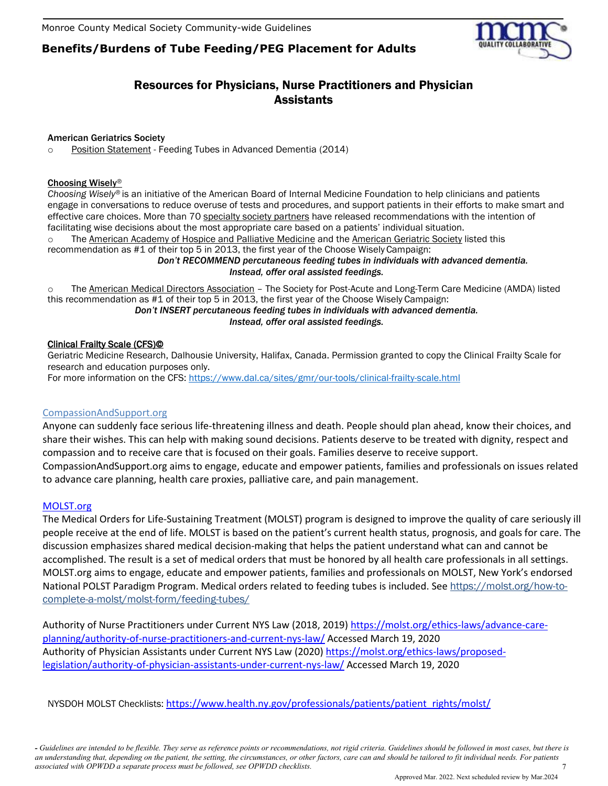

### Resources for Physicians, Nurse Practitioners and Physician **Assistants**

### American Geriatrics Society

o [Position Statement](http://geriatricscareonline.org/ProductAbstract/american-geriatrics-society-feeding-tubes-in-advanced-dementia-position-statement/CL017) - Feeding Tubes in Advanced Dementia (2014)

### [Choosing Wisely](http://www.choosingwisely.org/)*[®](http://www.choosingwisely.org/)*

*Choosing Wisely®* is an initiative of the American Board of Internal Medicine Foundation to help clinicians and patients engage in conversations to reduce overuse of tests and procedures, and support patients in their efforts to make smart and effective care choices. More than 70 [specialty society partners](http://www.choosingwisely.org/about-us/partners/) have released recommendations with the intention of facilitating wise decisions about the most appropriate care based on a patients' individual situation.

o The [American Academy of Hospice and Palliative Medicine](http://www.choosingwisely.org/societies/american-academy-of-hospice-and-palliative-medicine/) and the [American Geriatric Society](http://www.choosingwisely.org/societies/american-geriatrics-society/) listed this recommendation as #1 of their top 5 in 2013, the first year of the Choose Wisely Campaign:

*Don't RECOMMEND percutaneous feeding tubes in individuals with advanced dementia. Instead, offer oral assisted feedings.*

o The [American Medical Directors Association](http://www.choosingwisely.org/amda-releases-second-round-of-potentially-unnecessary-medical-tests-procedures-as-part-of-the-abim-foundations-choosing-wisely-campaign/) - The Society for Post-Acute and Long-Term Care Medicine (AMDA) listed this recommendation as #1 of their top 5 in 2013, the first year of the Choose Wisely Campaign:

*Don't INSERT percutaneous feeding tubes in individuals with advanced dementia.*

*Instead, offer oral assisted feedings.*

### Clinical Frailty Scale (CFS)©

Geriatric Medicine Research, Dalhousie University, Halifax, Canada. Permission granted to copy the Clinical Frailty Scale for research and education purposes only. For more information on the CFS:<https://www.dal.ca/sites/gmr/our-tools/clinical-frailty-scale.html>

### [CompassionAndSupport.org](https://compassionandsupport.org/)

Anyone can suddenly face serious life-threatening illness and death. People should plan ahead, know their choices, and share their wishes. This can help with making sound decisions. Patients deserve to be treated with dignity, respect and compassion and to receive care that is focused on their goals. Families deserve to receive support. CompassionAndSupport.org aims to engage, educate and empower patients, families and professionals on issues related to advance care planning, health care proxies, palliative care, and pain management.

### [MOLST.org](https://molst.org/)

The Medical Orders for Life-Sustaining Treatment (MOLST) program is designed to improve the quality of care seriously ill people receive at the end of life. MOLST is based on the patient's current health status, prognosis, and goals for care. The discussion emphasizes shared medical decision-making that helps the patient understand what can and cannot be accomplished. The result is a set of medical orders that must be honored by all health care professionals in all settings. MOLST.org aims to engage, educate and empower patients, families and professionals on MOLST, New York's endorsed National POLST Paradigm Program. Medical orders related to feeding tubes is included. See [https://molst.org/how-to](https://molst.org/how-to-complete-a-molst/molst-form/feeding-tubes/)[complete-a-molst/molst-form/feeding-tubes/](https://molst.org/how-to-complete-a-molst/molst-form/feeding-tubes/)

Authority of Nurse Practitioners under Current NYS Law (2018, 2019) [https://molst.org/ethics-laws/advance-care](https://molst.org/ethics-laws/advance-care-planning/authority-of-nurse-practitioners-and-current-nys-law/)[planning/authority-of-nurse-practitioners-and-current-nys-law/](https://molst.org/ethics-laws/advance-care-planning/authority-of-nurse-practitioners-and-current-nys-law/) Accessed March 19, 2020 Authority of Physician Assistants under Current NYS Law (2020) [https://molst.org/ethics-laws/proposed](https://molst.org/ethics-laws/proposed-legislation/authority-of-physician-assistants-under-current-nys-law/)[legislation/authority-of-physician-assistants-under-current-nys-law/](https://molst.org/ethics-laws/proposed-legislation/authority-of-physician-assistants-under-current-nys-law/) Accessed March 19, 2020

NYSDOH MOLST Checklists: [https://www.health.ny.gov/professionals/patients/patient\\_rights/molst/](https://www.health.ny.gov/professionals/patients/patient_rights/molst/)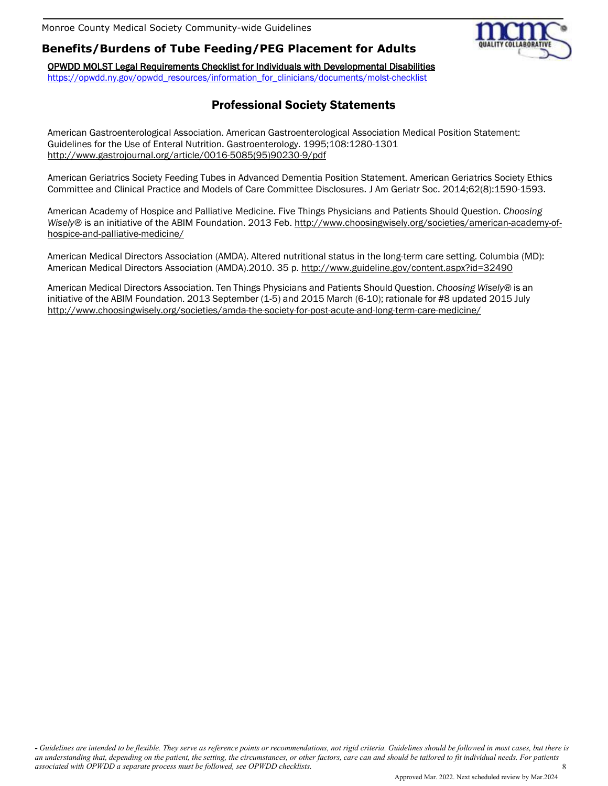

OPWDD MOLST Legal Requirements Checklist for Individuals with Developmental Disabilities [https://opwdd.ny.gov/opwdd\\_resources/information\\_for\\_clinicians/documents/molst-checklist](https://opwdd.ny.gov/opwdd_resources/information_for_clinicians/documents/molst-checklist)

### Professional Society Statements

American Gastroenterological Association. American Gastroenterological Association Medical Position Statement: Guidelines for the Use of Enteral Nutrition. Gastroenterology. 1995;108:1280-1301 [http://www.gastrojournal.org/article/0016-5085\(95\)90230-9/pdf](http://www.gastrojournal.org/article/0016-5085(95)90230-9/pdf)

American Geriatrics Society Feeding Tubes in Advanced Dementia Position Statement. American Geriatrics Society Ethics Committee and Clinical Practice and Models of Care Committee Disclosures. J Am Geriatr Soc. 2014;62(8):1590-1593.

American Academy of Hospice and Palliative Medicine. Five Things Physicians and Patients Should Question. *Choosing Wisely®* is an initiative of the ABIM Foundation. 2013 Feb[. http://www.choosingwisely.org/societies/american-academy-of](http://www.choosingwisely.org/societies/american-academy-of-hospice-and-palliative-medicine/)[hospice-and-palliative-medicine/](http://www.choosingwisely.org/societies/american-academy-of-hospice-and-palliative-medicine/)

American Medical Directors Association (AMDA). Altered nutritional status in the long-term care setting. Columbia (MD): American Medical Directors Association (AMDA).2010. 35 p[. http://www.guideline.gov/content.aspx?id=32490](http://www.guideline.gov/content.aspx?id=32490)

American Medical Directors Association. Ten Things Physicians and Patients Should Question. *Choosing Wisely®* is an initiative of the ABIM Foundation. 2013 September (1-5) and 2015 March (6-10); rationale for #8 updated 2015 July <http://www.choosingwisely.org/societies/amda-the-society-for-post-acute-and-long-term-care-medicine/>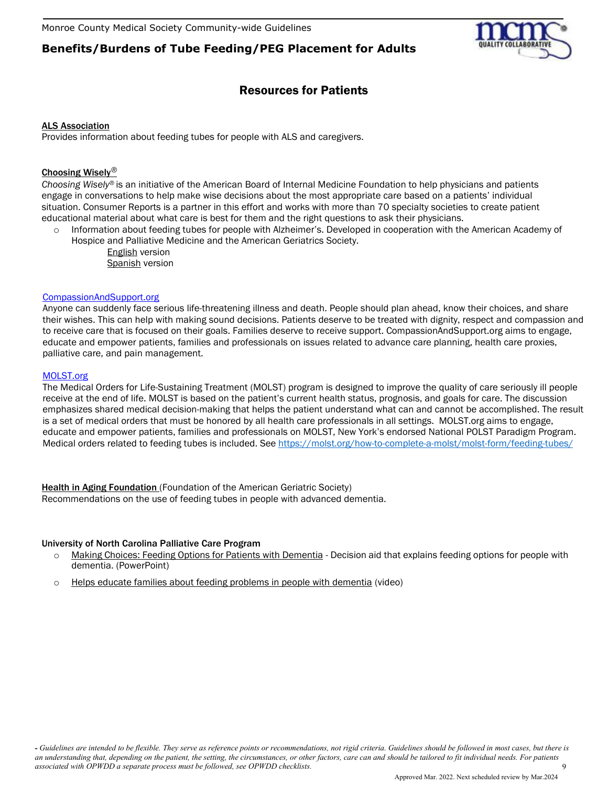

### Resources for Patients

#### [ALS Association](http://www.alsa.org/als-care/resources/publications-videos/factsheets/feeding-tubes.html)

Provides information about feeding tubes for people with ALS and caregivers.

### [Choosing Wisely](http://www.choosingwisely.org/)*[®](http://www.choosingwisely.org/)*

*Choosing Wisely®* is an initiative of the American Board of Internal Medicine Foundation to help physicians and patients engage in conversations to help make wise decisions about the most appropriate care based on a patients' individual situation. Consumer Reports is a partner in this effort and works with more than 70 specialty societies to create patient educational material about what care is best for them and the right questions to ask their physicians.

o Information about feeding tubes for people with Alzheimer's. Developed in cooperation with the American Academy of Hospice and Palliative Medicine and the American Geriatrics Society.

[English](http://consumerhealthchoices.org/wp-content/uploads/2013/05/ChoosingWiselyFeedingTubeAGS-ER.pdf) version [Spanish](http://consumerhealthchoices.org/wp-content/uploads/2013/05/ChoosingWiselyFeedingTubeAGS-ES.pdf) version

#### [CompassionAndSupport.org](https://compassionandsupport.org/)

Anyone can suddenly face serious life-threatening illness and death. People should plan ahead, know their choices, and share their wishes. This can help with making sound decisions. Patients deserve to be treated with dignity, respect and compassion and to receive care that is focused on their goals. Families deserve to receive support. CompassionAndSupport.org aims to engage, educate and empower patients, families and professionals on issues related to advance care planning, health care proxies, palliative care, and pain management.

#### [MOLST.org](https://molst.org/)

The Medical Orders for Life-Sustaining Treatment (MOLST) program is designed to improve the quality of care seriously ill people receive at the end of life. MOLST is based on the patient's current health status, prognosis, and goals for care. The discussion emphasizes shared medical decision-making that helps the patient understand what can and cannot be accomplished. The result is a set of medical orders that must be honored by all health care professionals in all settings. MOLST.org aims to engage, educate and empower patients, families and professionals on MOLST, New York's endorsed National POLST Paradigm Program. Medical orders related to feeding tubes is included. See<https://molst.org/how-to-complete-a-molst/molst-form/feeding-tubes/>

**Health in Aging Foundation** (Foundation of the American Geriatric Society) Recommendations on the use of feeding tubes in people with advanced dementia.

### University of North Carolina Palliative Care Program

- o Making Choices: Feeding Options for Patients with [Dementia](http://decisionaid.ohri.ca/docs/das/Feeding_Options.pdf) Decision aid that explains feeding options for people with dementia. (PowerPoint)
- o [Helps educate families about feeding problems in people with dementia](https://vimeo.com/51776155) (video)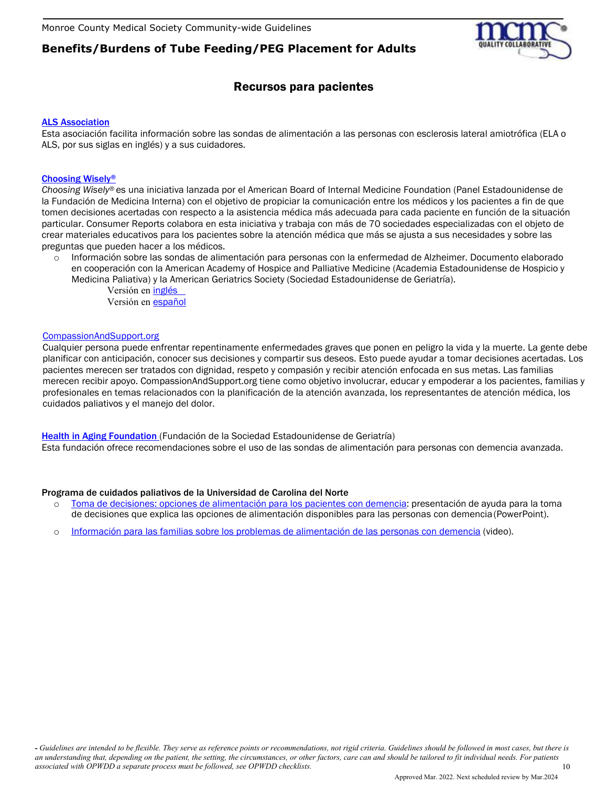

### Recursos para pacientes

#### [ALS Association](http://www.alsa.org/als-care/resources/publications-videos/factsheets/feeding-tubes.html)

Esta asociación facilita información sobre las sondas de alimentación a las personas con esclerosis lateral amiotrófica (ELA o ALS, por sus siglas en inglés) y a sus cuidadores.

#### [Choosing Wisely](http://www.choosingwisely.org/)[®](http://www.choosingwisely.org/)

*Choosing Wisely®* es una iniciativa lanzada por el American Board of Internal Medicine Foundation (Panel Estadounidense de la Fundación de Medicina Interna) con el objetivo de propiciar la comunicación entre los médicos y los pacientes a fin de que tomen decisiones acertadas con respecto a la asistencia médica más adecuada para cada paciente en función de la situación particular. Consumer Reports colabora en esta iniciativa y trabaja con más de 70 sociedades especializadas con el objeto de crear materiales educativos para los pacientes sobre la atención médica que más se ajusta a sus necesidades y sobre las preguntas que pueden hacer a los médicos.

o Información sobre las sondas de alimentación para personas con la enfermedad de Alzheimer. Documento elaborado en cooperación con la American Academy of Hospice and Palliative Medicine (Academia Estadounidense de Hospicio y Medicina Paliativa) y la American Geriatrics Society (Sociedad Estadounidense de Geriatría).

> Versión en *[inglés](http://consumerhealthchoices.org/wp-content/uploads/2013/05/ChoosingWiselyFeedingTubeAGS-ER.pdf)* Versión en [español](http://consumerhealthchoices.org/wp-content/uploads/2013/05/ChoosingWiselyFeedingTubeAGS-ES.pdf)

#### [CompassionAndSupport.org](https://compassionandsupport.org/)

Cualquier persona puede enfrentar repentinamente enfermedades graves que ponen en peligro la vida y la muerte. La gente debe planificar con anticipación, conocer sus decisiones y compartir sus deseos. Esto puede ayudar a tomar decisiones acertadas. Los pacientes merecen ser tratados con dignidad, respeto y compasión y recibir atención enfocada en sus metas. Las familias merecen recibir apoyo. CompassionAndSupport.org tiene como objetivo involucrar, educar y empoderar a los pacientes, familias y profesionales en temas relacionados con la planificación de la atención avanzada, los representantes de atención médica, los cuidados paliativos y el manejo del dolor.

[Health in Aging Foundation](http://www.healthinagingfoundation.org/haf_news/recommendations-on-the-use-of-feeding-tubes-in-people-with-advanced-dementia/) (Fundación de la Sociedad Estadounidense de Geriatría) Esta fundación ofrece recomendaciones sobre el uso de las sondas de alimentación para personas con demencia avanzada.

#### Programa de cuidados paliativos de la Universidad de Carolina del Norte

- o Toma de decisiones: opciones de [alimentación](http://decisionaid.ohri.ca/docs/das/Feeding_Options.pdf) para los pacientes con demencia: presentación de ayuda para la toma de decisiones que explica las opciones de alimentación disponibles para las personas con demencia(PowerPoint).
- o [Información para las familias sobre los problemas de alimentación de las personas con demencia](https://vimeo.com/51776155) (video).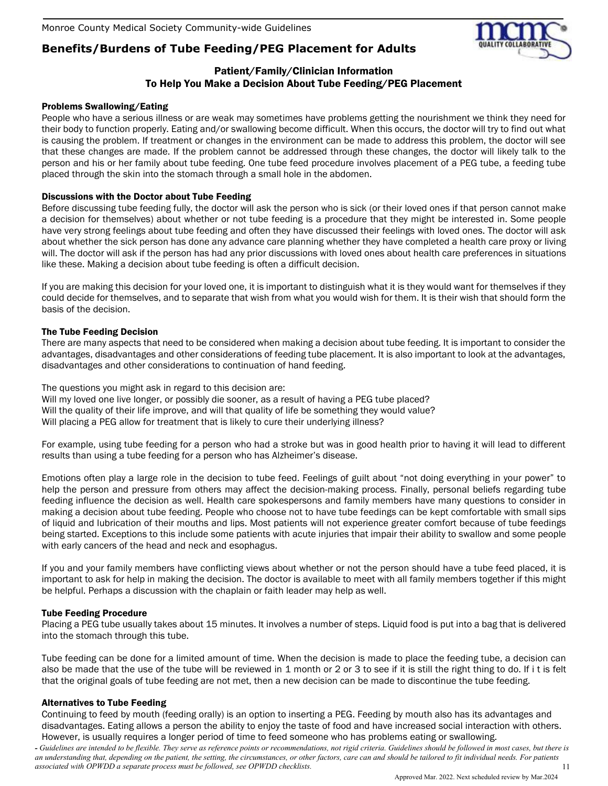

### Patient/Family/Clinician Information To Help You Make a Decision About Tube Feeding/PEG Placement

### Problems Swallowing/Eating

People who have a serious illness or are weak may sometimes have problems getting the nourishment we think they need for their body to function properly. Eating and/or swallowing become difficult. When this occurs, the doctor will try to find out what is causing the problem. If treatment or changes in the environment can be made to address this problem, the doctor will see that these changes are made. If the problem cannot be addressed through these changes, the doctor will likely talk to the person and his or her family about tube feeding. One tube feed procedure involves placement of a PEG tube, a feeding tube placed through the skin into the stomach through a small hole in the abdomen.

### Discussions with the Doctor about Tube Feeding

Before discussing tube feeding fully, the doctor will ask the person who is sick (or their loved ones if that person cannot make a decision for themselves) about whether or not tube feeding is a procedure that they might be interested in. Some people have very strong feelings about tube feeding and often they have discussed their feelings with loved ones. The doctor will ask about whether the sick person has done any advance care planning whether they have completed a health care proxy or living will. The doctor will ask if the person has had any prior discussions with loved ones about health care preferences in situations like these. Making a decision about tube feeding is often a difficult decision.

If you are making this decision for your loved one, it is important to distinguish what it is they would want for themselves if they could decide for themselves, and to separate that wish from what you would wish for them. It is their wish that should form the basis of the decision.

### The Tube Feeding Decision

There are many aspects that need to be considered when making a decision about tube feeding. It is important to consider the advantages, disadvantages and other considerations of feeding tube placement. It is also important to look at the advantages, disadvantages and other considerations to continuation of hand feeding.

The questions you might ask in regard to this decision are: Will my loved one live longer, or possibly die sooner, as a result of having a PEG tube placed? Will the quality of their life improve, and will that quality of life be something they would value? Will placing a PEG allow for treatment that is likely to cure their underlying illness?

For example, using tube feeding for a person who had a stroke but was in good health prior to having it will lead to different results than using a tube feeding for a person who has Alzheimer's disease.

Emotions often play a large role in the decision to tube feed. Feelings of guilt about "not doing everything in your power" to help the person and pressure from others may affect the decision-making process. Finally, personal beliefs regarding tube feeding influence the decision as well. Health care spokespersons and family members have many questions to consider in making a decision about tube feeding. People who choose not to have tube feedings can be kept comfortable with small sips of liquid and lubrication of their mouths and lips. Most patients will not experience greater comfort because of tube feedings being started. Exceptions to this include some patients with acute injuries that impair their ability to swallow and some people with early cancers of the head and neck and esophagus.

If you and your family members have conflicting views about whether or not the person should have a tube feed placed, it is important to ask for help in making the decision. The doctor is available to meet with all family members together if this might be helpful. Perhaps a discussion with the chaplain or faith leader may help as well.

### Tube Feeding Procedure

Placing a PEG tube usually takes about 15 minutes. It involves a number of steps. Liquid food is put into a bag that is delivered into the stomach through this tube.

Tube feeding can be done for a limited amount of time. When the decision is made to place the feeding tube, a decision can also be made that the use of the tube will be reviewed in 1 month or 2 or 3 to see if it is still the right thing to do. If i t is felt that the original goals of tube feeding are not met, then a new decision can be made to discontinue the tube feeding.

### Alternatives to Tube Feeding

Continuing to feed by mouth (feeding orally) is an option to inserting a PEG. Feeding by mouth also has its advantages and disadvantages. Eating allows a person the ability to enjoy the taste of food and have increased social interaction with others. However, is usually requires a longer period of time to feed someone who has problems eating or swallowing.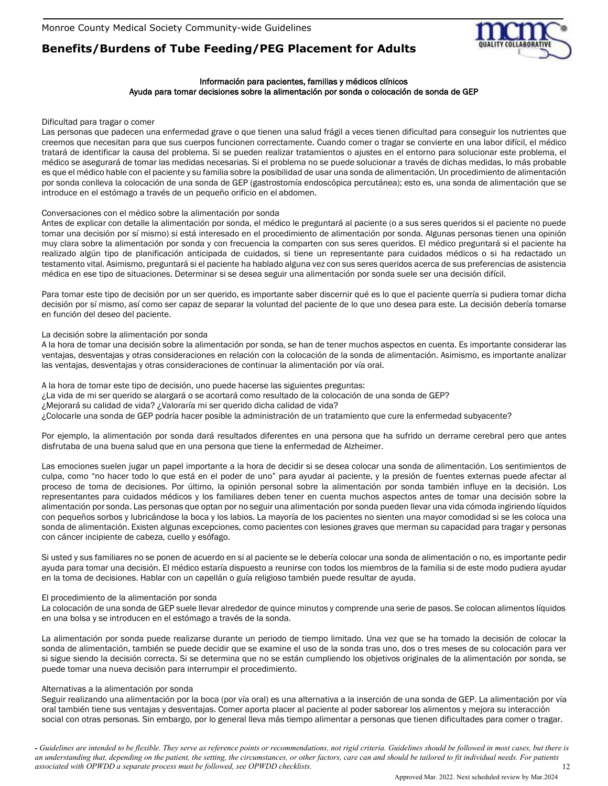

#### Información para pacientes, familias y médicos clínicos Ayuda para tomar decisiones sobre la alimentación por sonda o colocación de sonda de GEP

#### Dificultad para tragar o comer

Las personas que padecen una enfermedad grave o que tienen una salud frágil a veces tienen dificultad para conseguir los nutrientes que creemos que necesitan para que sus cuerpos funcionen correctamente. Cuando comer o tragar se convierte en una labor difícil, el médico tratará de identificar la causa del problema. Si se pueden realizar tratamientos o ajustes en el entorno para solucionar este problema, el médico se asegurará de tomar las medidas necesarias. Si el problema no se puede solucionar a través de dichas medidas, lo más probable es que el médico hable con el paciente y su familia sobre la posibilidad de usar una sonda de alimentación. Un procedimiento de alimentación por sonda conlleva la colocación de una sonda de GEP (gastrostomía endoscópica percutánea); esto es, una sonda de alimentación que se introduce en el estómago a través de un pequeño orificio en el abdomen.

#### Conversaciones con el médico sobre la alimentación por sonda

Antes de explicar con detalle la alimentación por sonda, el médico le preguntará al paciente (o a sus seres queridos si el paciente no puede tomar una decisión por sí mismo) si está interesado en el procedimiento de alimentación por sonda. Algunas personas tienen una opinión muy clara sobre la alimentación por sonda y con frecuencia la comparten con sus seres queridos. El médico preguntará si el paciente ha realizado algún tipo de planificación anticipada de cuidados, si tiene un representante para cuidados médicos o si ha redactado un testamento vital. Asimismo, preguntará si el paciente ha hablado alguna vez con sus seres queridos acerca de sus preferencias de asistencia médica en ese tipo de situaciones. Determinar si se desea seguir una alimentación por sonda suele ser una decisión difícil.

Para tomar este tipo de decisión por un ser querido, es importante saber discernir qué es lo que el paciente querría si pudiera tomar dicha decisión por sí mismo, así como ser capaz de separar la voluntad del paciente de lo que uno desea para este. La decisión debería tomarse en función del deseo del paciente.

#### La decisión sobre la alimentación por sonda

A la hora de tomar una decisión sobre la alimentación por sonda, se han de tener muchos aspectos en cuenta. Es importante considerar las ventajas, desventajas y otras consideraciones en relación con la colocación de la sonda de alimentación. Asimismo, es importante analizar las ventajas, desventajas y otras consideraciones de continuar la alimentación por vía oral.

A la hora de tomar este tipo de decisión, uno puede hacerse las siguientes preguntas:

¿La vida de mi ser querido se alargará o se acortará como resultado de la colocación de una sonda de GEP?

¿Mejorará su calidad de vida? ¿Valoraría mi ser querido dicha calidad de vida?

¿Colocarle una sonda de GEP podría hacer posible la administración de un tratamiento que cure la enfermedad subyacente?

Por ejemplo, la alimentación por sonda dará resultados diferentes en una persona que ha sufrido un derrame cerebral pero que antes disfrutaba de una buena salud que en una persona que tiene la enfermedad de Alzheimer.

Las emociones suelen jugar un papel importante a la hora de decidir si se desea colocar una sonda de alimentación. Los sentimientos de culpa, como "no hacer todo lo que está en el poder de uno" para ayudar al paciente, y la presión de fuentes externas puede afectar al proceso de toma de decisiones. Por último, la opinión personal sobre la alimentación por sonda también influye en la decisión. Los representantes para cuidados médicos y los familiares deben tener en cuenta muchos aspectos antes de tomar una decisión sobre la alimentación por sonda. Las personas que optan por no seguir una alimentación por sonda pueden llevar una vida cómoda ingiriendo líquidos con pequeños sorbos y lubricándose la boca y los labios. La mayoría de los pacientes no sienten una mayor comodidad si se les coloca una sonda de alimentación. Existen algunas excepciones, como pacientes con lesiones graves que merman su capacidad para tragar y personas con cáncer incipiente de cabeza, cuello y esófago.

Si usted y sus familiares no se ponen de acuerdo en si al paciente se le debería colocar una sonda de alimentación o no, es importante pedir ayuda para tomar una decisión. El médico estaría dispuesto a reunirse con todos los miembros de la familia si de este modo pudiera ayudar en la toma de decisiones. Hablar con un capellán o guía religioso también puede resultar de ayuda.

#### El procedimiento de la alimentación por sonda

La colocación de una sonda de GEP suele llevar alrededor de quince minutos y comprende una serie de pasos. Se colocan alimentos líquidos en una bolsa y se introducen en el estómago a través de la sonda.

La alimentación por sonda puede realizarse durante un periodo de tiempo limitado. Una vez que se ha tomado la decisión de colocar la sonda de alimentación, también se puede decidir que se examine el uso de la sonda tras uno, dos o tres meses de su colocación para ver si sigue siendo la decisión correcta. Si se determina que no se están cumpliendo los objetivos originales de la alimentación por sonda, se puede tomar una nueva decisión para interrumpir el procedimiento.

#### Alternativas a la alimentación por sonda

Seguir realizando una alimentación por la boca (por vía oral) es una alternativa a la inserción de una sonda de GEP. La alimentación por vía oral también tiene sus ventajas y desventajas. Comer aporta placer al paciente al poder saborear los alimentos y mejora su interacción social con otras personas. Sin embargo, por lo general lleva más tiempo alimentar a personas que tienen dificultades para comer o tragar.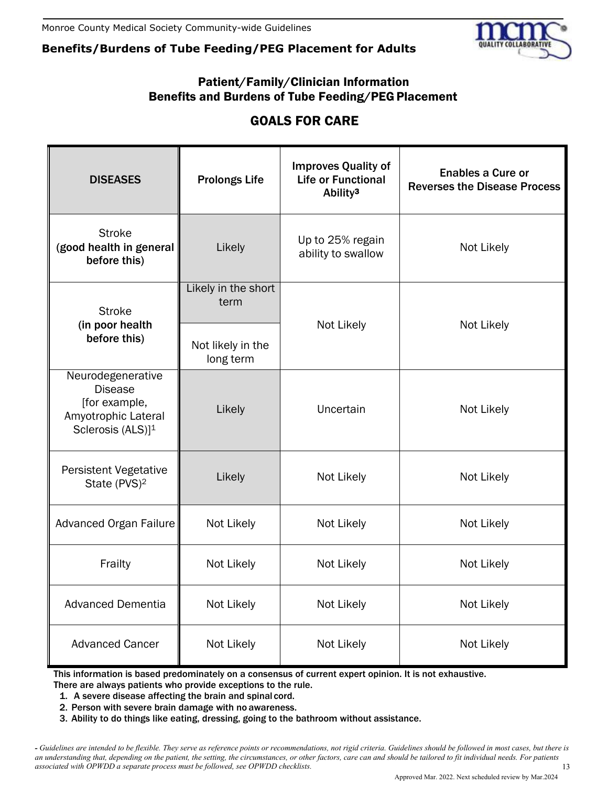### Patient/Family/Clinician Information Benefits and Burdens of Tube Feeding/PEG Placement

### GOALS FOR CARE

| <b>DISEASES</b>                                                                                              | <b>Prolongs Life</b>                             | <b>Improves Quality of</b><br><b>Life or Functional</b><br>Ability <sup>3</sup> | <b>Enables a Cure or</b><br><b>Reverses the Disease Process</b> |
|--------------------------------------------------------------------------------------------------------------|--------------------------------------------------|---------------------------------------------------------------------------------|-----------------------------------------------------------------|
| <b>Stroke</b><br>(good health in general<br>before this)                                                     | Likely                                           | Up to 25% regain<br>ability to swallow                                          | Not Likely                                                      |
| <b>Stroke</b><br>(in poor health<br>before this)                                                             | Likely in the short<br>term<br>Not likely in the | Not Likely                                                                      | Not Likely                                                      |
| Neurodegenerative<br><b>Disease</b><br>[for example,<br>Amyotrophic Lateral<br>Sclerosis (ALS)] <sup>1</sup> | long term<br>Likely                              | Uncertain                                                                       | Not Likely                                                      |
| <b>Persistent Vegetative</b><br>State (PVS) <sup>2</sup>                                                     | Likely                                           | Not Likely                                                                      | Not Likely                                                      |
| Advanced Organ Failure                                                                                       | Not Likely                                       | Not Likely                                                                      | Not Likely                                                      |
| Frailty                                                                                                      | Not Likely                                       | Not Likely                                                                      | Not Likely                                                      |
| <b>Advanced Dementia</b>                                                                                     | Not Likely                                       | Not Likely                                                                      | Not Likely                                                      |
| <b>Advanced Cancer</b>                                                                                       | Not Likely                                       | Not Likely                                                                      | Not Likely                                                      |

This information is based predominately on a consensus of current expert opinion. It is not exhaustive. There are always patients who provide exceptions to the rule.

1. A severe disease affecting the brain and spinal cord.

2. Person with severe brain damage with no awareness.

3. Ability to do things like eating, dressing, going to the bathroom without assistance.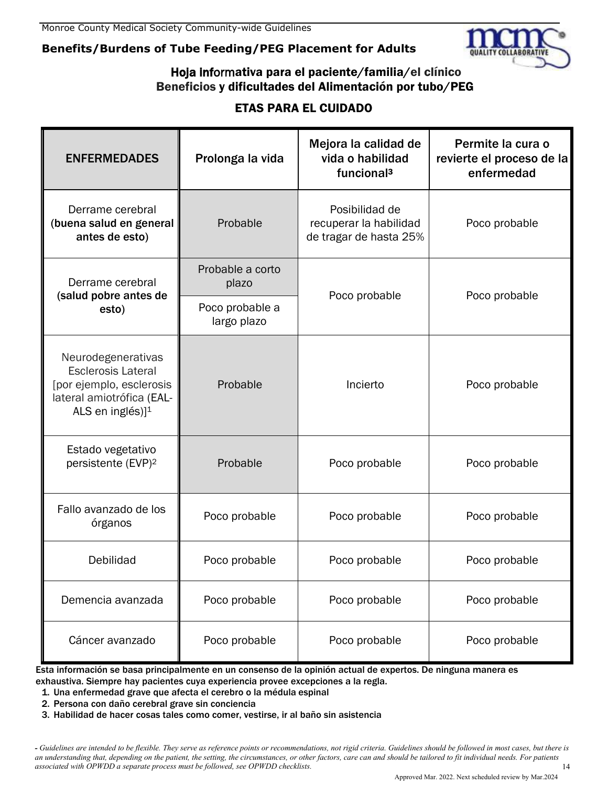

### Hoja informativa para el paciente/familia/el clínico Beneficios y dificultades del Alimentación por tubo/PEG

## ETAS PARA EL CUIDADO

| <b>ENFERMEDADES</b>                                                                                                                      | Prolonga la vida               | Mejora la calidad de<br>vida o habilidad<br>funcional <sup>3</sup> | Permite la cura o<br>revierte el proceso de la<br>enfermedad |
|------------------------------------------------------------------------------------------------------------------------------------------|--------------------------------|--------------------------------------------------------------------|--------------------------------------------------------------|
| Derrame cerebral<br>(buena salud en general<br>antes de esto)                                                                            | Probable                       | Posibilidad de<br>recuperar la habilidad<br>de tragar de hasta 25% | Poco probable                                                |
| Derrame cerebral<br>(salud pobre antes de                                                                                                | Probable a corto<br>plazo      | Poco probable                                                      | Poco probable                                                |
| esto)                                                                                                                                    | Poco probable a<br>largo plazo |                                                                    |                                                              |
| Neurodegenerativas<br><b>Esclerosis Lateral</b><br>[por ejemplo, esclerosis<br>lateral amiotrófica (EAL-<br>ALS en inglés)] <sup>1</sup> | Probable<br>Incierto           |                                                                    | Poco probable                                                |
| Estado vegetativo<br>persistente (EVP) <sup>2</sup>                                                                                      | Probable                       | Poco probable                                                      | Poco probable                                                |
| Fallo avanzado de los<br>órganos                                                                                                         | Poco probable                  | Poco probable                                                      | Poco probable                                                |
| <b>Debilidad</b><br>Poco probable                                                                                                        |                                | Poco probable                                                      | Poco probable                                                |
| Poco probable<br>Demencia avanzada                                                                                                       |                                | Poco probable                                                      | Poco probable                                                |
| Cáncer avanzado<br>Poco probable                                                                                                         |                                | Poco probable                                                      | Poco probable                                                |

Esta información se basa principalmente en un consenso de la opinión actual de expertos. De ninguna manera es exhaustiva. Siempre hay pacientes cuya experiencia provee excepciones a la regla.

- 1. Una enfermedad grave que afecta el cerebro o la médula espinal
- 2. Persona con daño cerebral grave sin conciencia
- 3. Habilidad de hacer cosas tales como comer, vestirse, ir al baño sin asistencia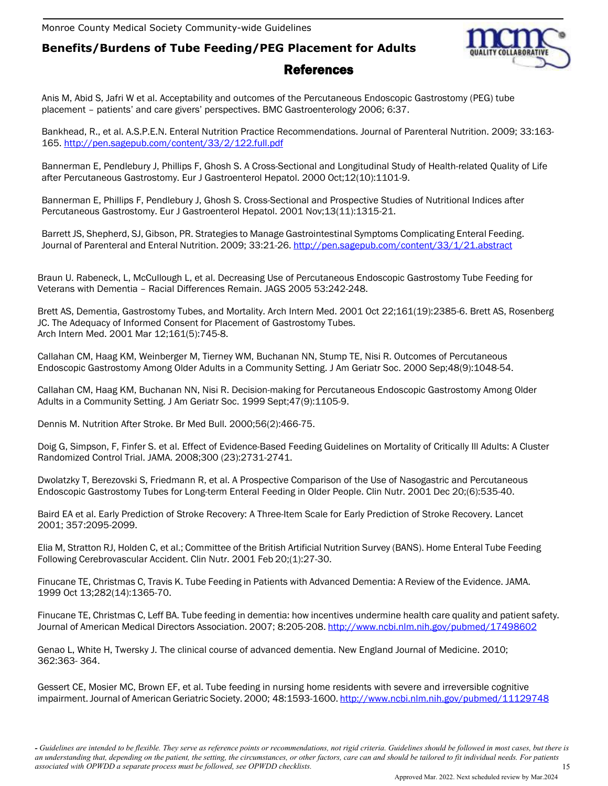

### References

Anis M, Abid S, Jafri W et al. Acceptability and outcomes of the Percutaneous Endoscopic Gastrostomy (PEG) tube placement – patients' and care givers' perspectives. BMC Gastroenterology 2006; 6:37.

Bankhead, R., et al. A.S.P.E.N. Enteral Nutrition Practice Recommendations. Journal of Parenteral Nutrition. 2009; 33:163- 165. <http://pen.sagepub.com/content/33/2/122.full.pdf>

Bannerman E, Pendlebury J, Phillips F, Ghosh S. A Cross-Sectional and Longitudinal Study of Health-related Quality of Life after Percutaneous Gastrostomy. Eur J Gastroenterol Hepatol. 2000 Oct;12(10):1101-9.

Bannerman E, Phillips F, Pendlebury J, Ghosh S. Cross-Sectional and Prospective Studies of Nutritional Indices after Percutaneous Gastrostomy. Eur J Gastroenterol Hepatol. 2001 Nov;13(11):1315-21.

Barrett JS, Shepherd, SJ, Gibson, PR. Strategies to Manage Gastrointestinal Symptoms Complicating Enteral Feeding. Journal of Parenteral and Enteral Nutrition. 2009; 33:21-26. <http://pen.sagepub.com/content/33/1/21.abstract>

Braun U. Rabeneck, L, McCullough L, et al. Decreasing Use of Percutaneous Endoscopic Gastrostomy Tube Feeding for Veterans with Dementia – Racial Differences Remain. JAGS 2005 53:242-248.

Brett AS, Dementia, Gastrostomy Tubes, and Mortality. Arch Intern Med. 2001 Oct 22;161(19):2385-6. Brett AS, Rosenberg JC. The Adequacy of Informed Consent for Placement of Gastrostomy Tubes. Arch Intern Med. 2001 Mar 12;161(5):745-8.

Callahan CM, Haag KM, Weinberger M, Tierney WM, Buchanan NN, Stump TE, Nisi R. Outcomes of Percutaneous Endoscopic Gastrostomy Among Older Adults in a Community Setting. J Am Geriatr Soc. 2000 Sep;48(9):1048-54.

Callahan CM, Haag KM, Buchanan NN, Nisi R. Decision-making for Percutaneous Endoscopic Gastrostomy Among Older Adults in a Community Setting. J Am Geriatr Soc. 1999 Sept;47(9):1105-9.

Dennis M. Nutrition After Stroke. Br Med Bull. 2000;56(2):466-75.

Doig G, Simpson, F, Finfer S. et al. Effect of Evidence-Based Feeding Guidelines on Mortality of Critically Ill Adults: A Cluster Randomized Control Trial. JAMA. 2008;300 (23):2731-2741.

Dwolatzky T, Berezovski S, Friedmann R, et al. A Prospective Comparison of the Use of Nasogastric and Percutaneous Endoscopic Gastrostomy Tubes for Long-term Enteral Feeding in Older People. Clin Nutr. 2001 Dec 20;(6):535-40.

Baird EA et al. Early Prediction of Stroke Recovery: A Three-Item Scale for Early Prediction of Stroke Recovery. Lancet 2001; 357:2095-2099.

Elia M, Stratton RJ, Holden C, et al.; Committee of the British Artificial Nutrition Survey (BANS). Home Enteral Tube Feeding Following Cerebrovascular Accident. Clin Nutr. 2001 Feb 20;(1):27-30.

Finucane TE, Christmas C, Travis K. Tube Feeding in Patients with Advanced Dementia: A Review of the Evidence. JAMA. 1999 Oct 13;282(14):1365-70.

Finucane TE, Christmas C, Leff BA. Tube feeding in dementia: how incentives undermine health care quality and patient safety. Journal of American Medical Directors Association. 2007; 8:205-208. <http://www.ncbi.nlm.nih.gov/pubmed/17498602>

Genao L, White H, Twersky J. The clinical course of advanced dementia. New England Journal of Medicine. 2010; 362:363- 364.

Gessert CE, Mosier MC, Brown EF, et al. Tube feeding in nursing home residents with severe and irreversible cognitive impairment. Journal of American Geriatric Society. 2000; 48:1593-1600. <http://www.ncbi.nlm.nih.gov/pubmed/11129748>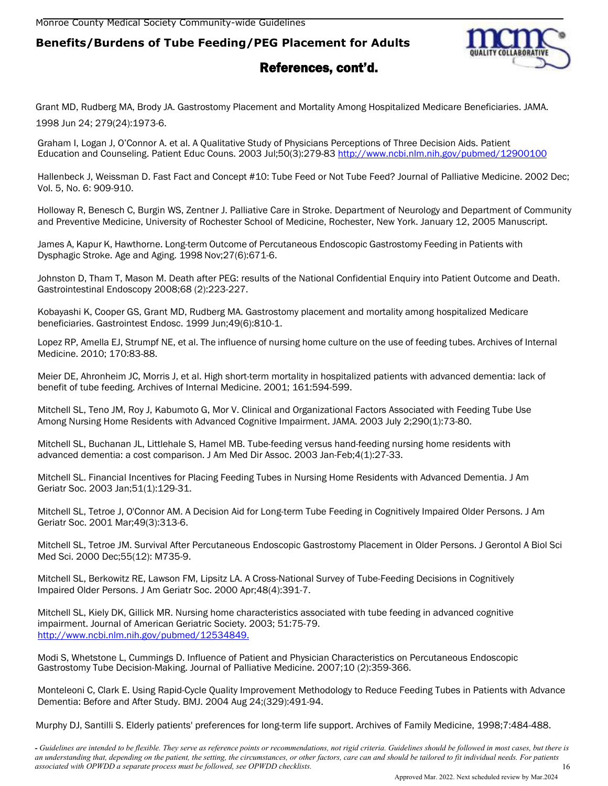

### References, cont'd.

Grant MD, Rudberg MA, Brody JA. Gastrostomy Placement and Mortality Among Hospitalized Medicare Beneficiaries. JAMA. 1998 Jun 24; 279(24):1973-6.

Graham I, Logan J, O'Connor A. et al. A Qualitative Study of Physicians Perceptions of Three Decision Aids. Patient Education and Counseling. Patient Educ Couns. 2003 Jul;50(3):279-83<http://www.ncbi.nlm.nih.gov/pubmed/12900100>

Hallenbeck J, Weissman D. Fast Fact and Concept #10: Tube Feed or Not Tube Feed? Journal of Palliative Medicine. 2002 Dec; Vol. 5, No. 6: 909-910.

Holloway R, Benesch C, Burgin WS, Zentner J. Palliative Care in Stroke. Department of Neurology and Department of Community and Preventive Medicine, University of Rochester School of Medicine, Rochester, New York. January 12, 2005 Manuscript.

James A, Kapur K, Hawthorne. Long-term Outcome of Percutaneous Endoscopic Gastrostomy Feeding in Patients with Dysphagic Stroke. Age and Aging. 1998 Nov;27(6):671-6.

Johnston D, Tham T, Mason M. Death after PEG: results of the National Confidential Enquiry into Patient Outcome and Death. Gastrointestinal Endoscopy 2008;68 (2):223-227.

Kobayashi K, Cooper GS, Grant MD, Rudberg MA. Gastrostomy placement and mortality among hospitalized Medicare beneficiaries. Gastrointest Endosc. 1999 Jun;49(6):810-1.

Lopez RP, Amella EJ, Strumpf NE, et al. The influence of nursing home culture on the use of feeding tubes. Archives of Internal Medicine. 2010; 170:83-88.

Meier DE, Ahronheim JC, Morris J, et al. High short-term mortality in hospitalized patients with advanced dementia: lack of benefit of tube feeding. Archives of Internal Medicine. 2001; 161:594-599.

Mitchell SL, Teno JM, Roy J, Kabumoto G, Mor V. Clinical and Organizational Factors Associated with Feeding Tube Use Among Nursing Home Residents with Advanced Cognitive Impairment. JAMA. 2003 July 2;290(1):73-80.

Mitchell SL, Buchanan JL, Littlehale S, Hamel MB. Tube-feeding versus hand-feeding nursing home residents with advanced dementia: a cost comparison. J Am Med Dir Assoc. 2003 Jan-Feb;4(1):27-33.

Mitchell SL. Financial Incentives for Placing Feeding Tubes in Nursing Home Residents with Advanced Dementia. J Am Geriatr Soc. 2003 Jan;51(1):129-31.

Mitchell SL, Tetroe J, O'Connor AM. A Decision Aid for Long-term Tube Feeding in Cognitively Impaired Older Persons. J Am Geriatr Soc. 2001 Mar;49(3):313-6.

Mitchell SL, Tetroe JM. Survival After Percutaneous Endoscopic Gastrostomy Placement in Older Persons. J Gerontol A Biol Sci Med Sci. 2000 Dec;55(12): M735-9.

Mitchell SL, Berkowitz RE, Lawson FM, Lipsitz LA. A Cross-National Survey of Tube-Feeding Decisions in Cognitively Impaired Older Persons. J Am Geriatr Soc. 2000 Apr;48(4):391-7.

Mitchell SL, Kiely DK, Gillick MR. Nursing home characteristics associated with tube feeding in advanced cognitive impairment. Journal of American Geriatric Society. 2003; 51:75-79. [http://www.ncbi.nlm.nih.gov/pubmed/12534849.](http://www.ncbi.nlm.nih.gov/pubmed/12534849)

Modi S, Whetstone L, Cummings D. Influence of Patient and Physician Characteristics on Percutaneous Endoscopic Gastrostomy Tube Decision-Making. Journal of Palliative Medicine. 2007;10 (2):359-366.

Monteleoni C, Clark E. Using Rapid-Cycle Quality Improvement Methodology to Reduce Feeding Tubes in Patients with Advance Dementia: Before and After Study. BMJ. 2004 Aug 24;(329):491-94.

Murphy DJ, Santilli S. Elderly patients' preferences for long-term life support. Archives of Family Medicine, 1998;7:484-488.

*<sup>-</sup> Guidelines are intended to be flexible. They serve as reference points or recommendations, not rigid criteria. Guidelines should be followed in most cases, but there is an understanding that, depending on the patient, the setting, the circumstances, or other factors, care can and should be tailored to fit individual needs. For patients associated with OPWDD a separate process must be followed, see OPWDD checklists.* 16